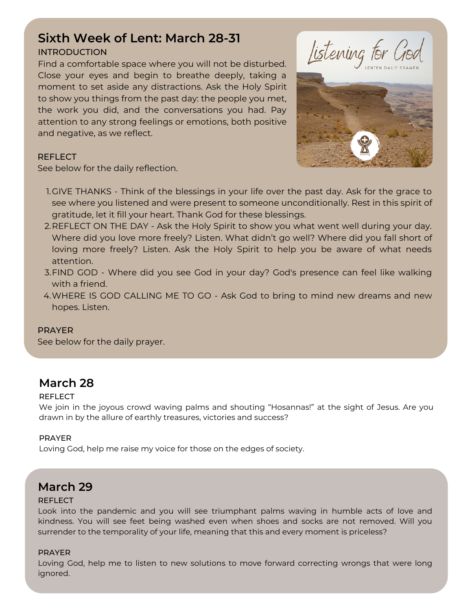# **Sixth Week of Lent: March 28-31**

#### INTRODUCTION

Find a comfortable space where you will not be disturbed. Close your eyes and begin to breathe deeply, taking a moment to set aside any distractions. Ask the Holy Spirit to show you things from the past day: the people you met, the work you did, and the conversations you had. Pay attention to any strong feelings or emotions, both positive and negative, as we reflect.





#### REFLECT

See below for the daily reflection.

- 1.GIVE THANKS Think of the blessings in your life over the past day. Ask for the grace to see where you listened and were present to someone unconditionally. Rest in this spirit of gratitude, let it fill your heart. Thank God for these blessings.
- 2.REFLECT ON THE DAY Ask the Holy Spirit to show you what went well during your day. Where did you love more freely? Listen. What didn't go well? Where did you fall short of loving more freely? Listen. Ask the Holy Spirit to help you be aware of what needs attention.
- FIND GOD Where did you see God in your day? God's presence can feel like walking 3. with a friend.
- WHERE IS GOD CALLING ME TO GO Ask God to bring to mind new dreams and new 4. hopes. Listen.

#### PRAYER

See below for the daily prayer.

### **March 28**

#### REFLECT

We join in the joyous crowd waving palms and shouting "Hosannas!" at the sight of Jesus. Are you drawn in by the allure of earthly treasures, victories and success?

#### PRAYER

Loving God, help me raise my voice for those on the edges of society.

### **March 29**

#### **REFLECT**

Look into the pandemic and you will see triumphant palms waving in humble acts of love and kindness. You will see feet being washed even when shoes and socks are not removed. Will you surrender to the temporality of your life, meaning that this and every moment is priceless?

#### PRAYER

Loving God, help me to listen to new solutions to move forward correcting wrongs that were long ignored.